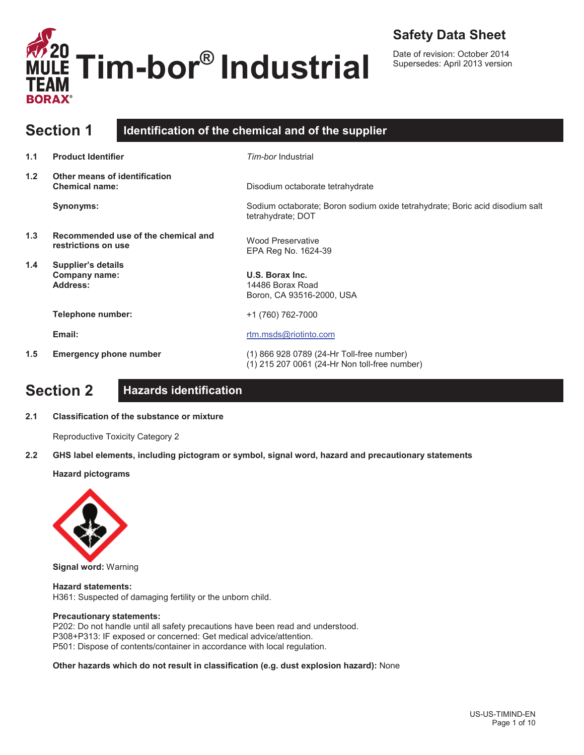

### **Safety Data Sheet**

Date of revision: October 2014 Supersedes: April 2013 version

|     | <b>Section 1</b>                                           | Identification of the chemical and of the supplier                                                |
|-----|------------------------------------------------------------|---------------------------------------------------------------------------------------------------|
| 1.1 | <b>Product Identifier</b>                                  | Tim-bor Industrial                                                                                |
| 1.2 | Other means of identification<br><b>Chemical name:</b>     | Disodium octaborate tetrahydrate                                                                  |
|     | Synonyms:                                                  | Sodium octaborate; Boron sodium oxide tetrahydrate; Boric acid disodium salt<br>tetrahydrate; DOT |
| 1.3 | Recommended use of the chemical and<br>restrictions on use | <b>Wood Preservative</b><br>EPA Reg No. 1624-39                                                   |
| 1.4 | Supplier's details<br>Company name:<br>Address:            | U.S. Borax Inc.<br>14486 Borax Road<br>Boron, CA 93516-2000, USA                                  |
|     | Telephone number:                                          | +1 (760) 762-7000                                                                                 |
|     | Email:                                                     | rtm.msds@riotinto.com                                                                             |
| 1.5 | <b>Emergency phone number</b>                              | (1) 866 928 0789 (24-Hr Toll-free number)<br>(1) 215 207 0061 (24-Hr Non toll-free number)        |

# **Section 2 Hazards identification**

**2.1 Classification of the substance or mixture**

Reproductive Toxicity Category 2

**2.2 GHS label elements, including pictogram or symbol, signal word, hazard and precautionary statements** 

**Hazard pictograms**



**Signal word:** Warning

**Hazard statements:**  H361: Suspected of damaging fertility or the unborn child.

#### **Precautionary statements:**

P202: Do not handle until all safety precautions have been read and understood. P308+P313: IF exposed or concerned: Get medical advice/attention. P501: Dispose of contents/container in accordance with local regulation.

**Other hazards which do not result in classification (e.g. dust explosion hazard):** None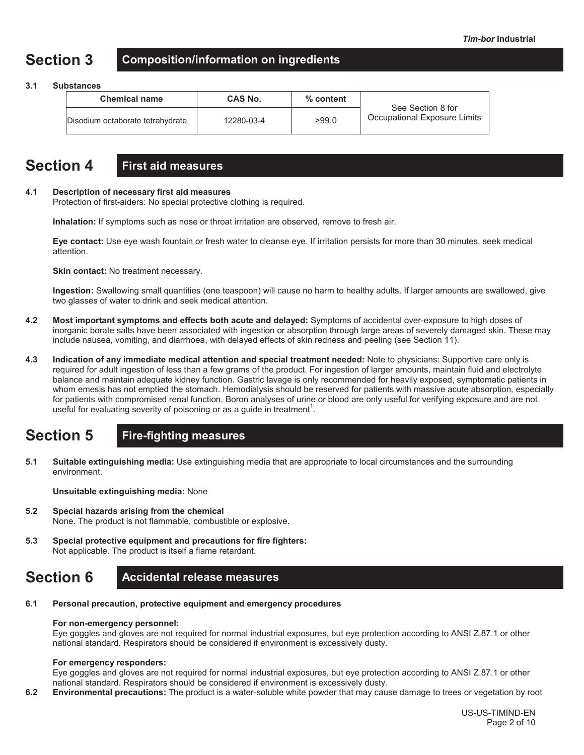# **Section 3 Composition/information on ingredients**

#### **3.1 Substances**

| <b>Chemical name</b>             | <b>CAS No.</b> | % content | See Section 8 for            |  |
|----------------------------------|----------------|-----------|------------------------------|--|
| Disodium octaborate tetrahydrate | 12280-03-4     | >99.0     | Occupational Exposure Limits |  |

### **Section 4 First aid measures**

#### **4.1 Description of necessary first aid measures**

Protection of first-aiders: No special protective clothing is required.

**Inhalation:** If symptoms such as nose or throat irritation are observed, remove to fresh air.

**Eye contact:** Use eye wash fountain or fresh water to cleanse eye. If irritation persists for more than 30 minutes, seek medical attention.

**Skin contact:** No treatment necessary.

**Ingestion:** Swallowing small quantities (one teaspoon) will cause no harm to healthy adults. If larger amounts are swallowed, give two glasses of water to drink and seek medical attention.

- **4.2 Most important symptoms and effects both acute and delayed:** Symptoms of accidental over-exposure to high doses of inorganic borate salts have been associated with ingestion or absorption through large areas of severely damaged skin. These may include nausea, vomiting, and diarrhoea, with delayed effects of skin redness and peeling (see Section 11).
- **4.3 Indication of any immediate medical attention and special treatment needed:** Note to physicians: Supportive care only is required for adult ingestion of less than a few grams of the product. For ingestion of larger amounts, maintain fluid and electrolyte balance and maintain adequate kidney function. Gastric lavage is only recommended for heavily exposed, symptomatic patients in whom emesis has not emptied the stomach. Hemodialysis should be reserved for patients with massive acute absorption, especially for patients with compromised renal function. Boron analyses of urine or blood are only useful for verifying exposure and are not useful for evaluating severity of poisoning or as a guide in treatment<sup>1</sup>.

# **Section 5 Fire-fighting measures**

**5.1 Suitable extinguishing media:** Use extinguishing media that are appropriate to local circumstances and the surrounding environment.

**Unsuitable extinguishing media:** None

- **5.2 Special hazards arising from the chemical** None. The product is not flammable, combustible or explosive.
- **5.3 Special protective equipment and precautions for fire fighters:**  Not applicable. The product is itself a flame retardant.

## **Section 6 Accidental release measures**

**6.1 Personal precaution, protective equipment and emergency procedures**

#### **For non-emergency personnel:**

Eye goggles and gloves are not required for normal industrial exposures, but eye protection according to ANSI Z.87.1 or other national standard. Respirators should be considered if environment is excessively dusty.

#### **For emergency responders:**

Eye goggles and gloves are not required for normal industrial exposures, but eye protection according to ANSI Z.87.1 or other national standard. Respirators should be considered if environment is excessively dusty.

**6.2 Environmental precautions:** The product is a water-soluble white powder that may cause damage to trees or vegetation by root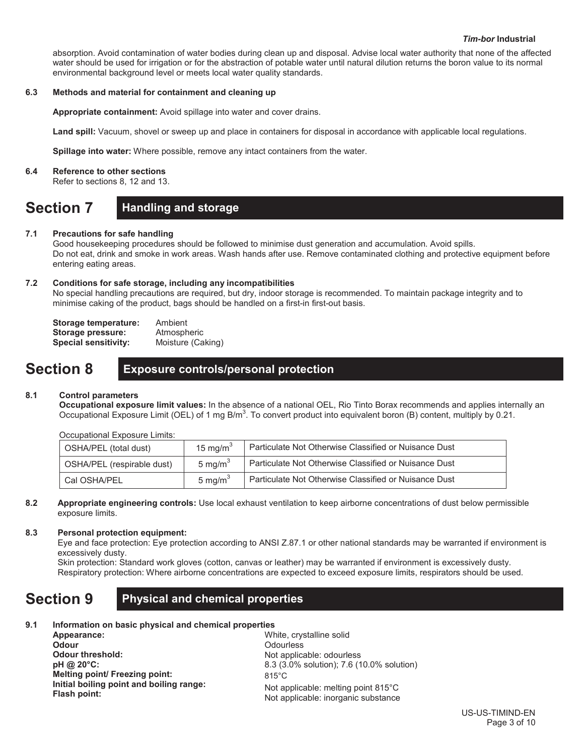absorption. Avoid contamination of water bodies during clean up and disposal. Advise local water authority that none of the affected water should be used for irrigation or for the abstraction of potable water until natural dilution returns the boron value to its normal environmental background level or meets local water quality standards.

### **6.3 Methods and material for containment and cleaning up**

**Appropriate containment:** Avoid spillage into water and cover drains.

Land spill: Vacuum, shovel or sweep up and place in containers for disposal in accordance with applicable local regulations.

**Spillage into water:** Where possible, remove any intact containers from the water.

#### **6.4 Reference to other sections**

Refer to sections 8, 12 and 13.

### **Section 7 Handling and storage**

### **7.1 Precautions for safe handling**

Good housekeeping procedures should be followed to minimise dust generation and accumulation. Avoid spills. Do not eat, drink and smoke in work areas. Wash hands after use. Remove contaminated clothing and protective equipment before entering eating areas.

### **7.2 Conditions for safe storage, including any incompatibilities**

No special handling precautions are required, but dry, indoor storage is recommended. To maintain package integrity and to minimise caking of the product, bags should be handled on a first-in first-out basis.

| Storage temperature: | Ambient           |
|----------------------|-------------------|
| Storage pressure:    | Atmospheric       |
| Special sensitivity: | Moisture (Caking) |

### **Section 8 Exposure controls/personal protection**

### **8.1 Control parameters**

**Occupational exposure limit values:** In the absence of a national OEL, Rio Tinto Borax recommends and applies internally an Occupational Exposure Limit (OEL) of 1 mg B/m<sup>3</sup>. To convert product into equivalent boron (B) content, multiply by 0.21.

Occupational Exposure Limits:

| OSHA/PEL (total dust)      | 15 mg/m $3$         | Particulate Not Otherwise Classified or Nuisance Dust |  |  |  |
|----------------------------|---------------------|-------------------------------------------------------|--|--|--|
| OSHA/PEL (respirable dust) | 5 mg/m <sup>3</sup> | Particulate Not Otherwise Classified or Nuisance Dust |  |  |  |
| Cal OSHA/PEL               | 5 mg/m $3$          | Particulate Not Otherwise Classified or Nuisance Dust |  |  |  |

#### **8.2 Appropriate engineering controls:** Use local exhaust ventilation to keep airborne concentrations of dust below permissible exposure limits.

### **8.3 Personal protection equipment:**

Eye and face protection: Eye protection according to ANSI Z.87.1 or other national standards may be warranted if environment is excessively dusty.

Skin protection: Standard work gloves (cotton, canvas or leather) may be warranted if environment is excessively dusty. Respiratory protection: Where airborne concentrations are expected to exceed exposure limits, respirators should be used.

### **Section 9 Physical and chemical properties**

### **9.1 Information on basic physical and chemical properties**

| Appearance:                              |
|------------------------------------------|
| <b>Odour</b>                             |
| Odour threshold:                         |
| pH @ 20°C:                               |
| Melting point/ Freezing point:           |
| Initial boiling point and boiling range: |
| <b>Flash point:</b>                      |

White, crystalline solid **Odourless** Not applicable: odourless 8.3 (3.0% solution); 7.6 (10.0% solution) 815°C Not applicable: melting point 815°C Not applicable: inorganic substance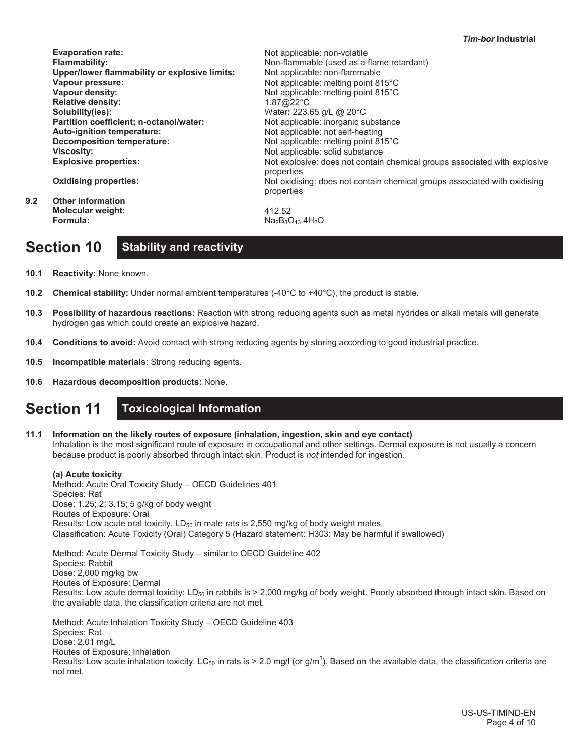| <b>Evaporation rate:</b>                      | Not applicable: non-volatile                                                            |
|-----------------------------------------------|-----------------------------------------------------------------------------------------|
| <b>Flammability:</b>                          | Non-flammable (used as a flame retardant)                                               |
| Upper/lower flammability or explosive limits: | Not applicable: non-flammable                                                           |
| Vapour pressure:                              | Not applicable: melting point 815°C                                                     |
| Vapour density:                               | Not applicable: melting point 815°C                                                     |
| <b>Relative density:</b>                      | $1.87@22^{\circ}C$                                                                      |
| Solubility(ies):                              | Water: 223.65 g/L @ 20°C                                                                |
| Partition coefficient; n-octanol/water:       | Not applicable: inorganic substance                                                     |
| Auto-ignition temperature:                    | Not applicable: not self-heating                                                        |
| Decomposition temperature:                    | Not applicable: melting point 815°C                                                     |
| <b>Viscosity:</b>                             | Not applicable: solid substance                                                         |
| <b>Explosive properties:</b>                  | Not explosive: does not contain chemical groups associated with explosive<br>properties |
| <b>Oxidising properties:</b>                  | Not oxidising: does not contain chemical groups associated with oxidising<br>properties |
| <b>Other information</b>                      |                                                                                         |
| Molecular weight:                             | 412.52                                                                                  |
| Formula:                                      | $Na2B8O13$ .4H <sub>2</sub> O                                                           |
|                                               |                                                                                         |

# **Section 10 Stability and reactivity**

**10.1 Reactivity:** None known.

**9.2 Other information**

- **10.2 Chemical stability:** Under normal ambient temperatures (-40°C to +40°C), the product is stable.
- **10.3 Possibility of hazardous reactions:** Reaction with strong reducing agents such as metal hydrides or alkali metals will generate hydrogen gas which could create an explosive hazard.
- **10.4 Conditions to avoid:** Avoid contact with strong reducing agents by storing according to good industrial practice.
- **10.5 Incompatible materials**: Strong reducing agents.
- **10.6 Hazardous decomposition products:** None.

### **Section 11 Toxicological Information**

**11.1 Information on the likely routes of exposure (inhalation, ingestion, skin and eye contact)** Inhalation is the most significant route of exposure in occupational and other settings. Dermal exposure is not usually a concern because product is poorly absorbed through intact skin. Product is *not* intended for ingestion.

**(a) Acute toxicity** Method: Acute Oral Toxicity Study – OECD Guidelines 401 Species: Rat Dose: 1.25; 2; 3.15; 5 g/kg of body weight Routes of Exposure: Oral Results: Low acute oral toxicity.  $LD_{50}$  in male rats is 2,550 mg/kg of body weight males. Classification: Acute Toxicity (Oral) Category 5 (Hazard statement: H303: May be harmful if swallowed) Method: Acute Dermal Toxicity Study – similar to OECD Guideline 402 Species: Rabbit

Dose: 2,000 mg/kg bw Routes of Exposure: Dermal Results: Low acute dermal toxicity; LD<sub>50</sub> in rabbits is > 2,000 mg/kg of body weight. Poorly absorbed through intact skin. Based on the available data, the classification criteria are not met.

Method: Acute Inhalation Toxicity Study – OECD Guideline 403 Species: Rat Dose: 2.01 mg/L Routes of Exposure: Inhalation Results: Low acute inhalation toxicity. LC<sub>50</sub> in rats is > 2.0 mg/l (or g/m<sup>3</sup>). Based on the available data, the classification criteria are not met.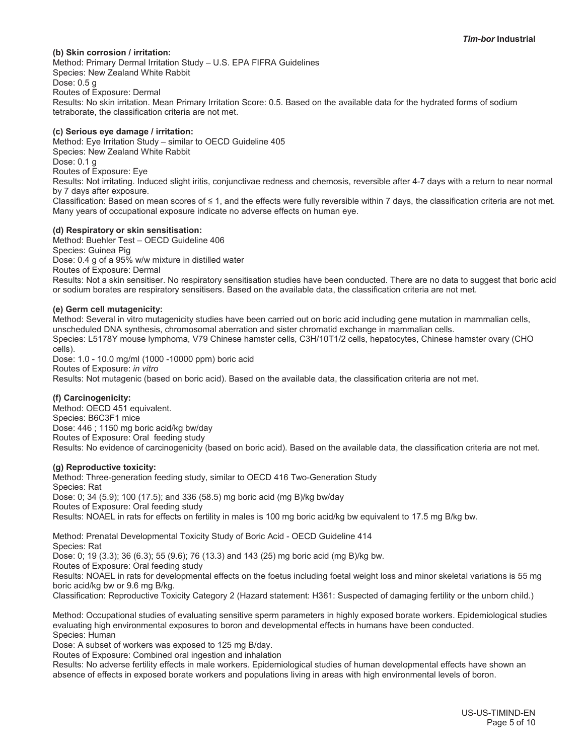#### **(b) Skin corrosion / irritation:**

Method: Primary Dermal Irritation Study – U.S. EPA FIFRA Guidelines Species: New Zealand White Rabbit Dose: 0.5 g Routes of Exposure: Dermal Results: No skin irritation. Mean Primary Irritation Score: 0.5. Based on the available data for the hydrated forms of sodium tetraborate, the classification criteria are not met.

#### **(c) Serious eye damage / irritation:**

Method: Eye Irritation Study – similar to OECD Guideline 405 Species: New Zealand White Rabbit Dose: 0.1 g Routes of Exposure: Eye Results: Not irritating. Induced slight iritis, conjunctivae redness and chemosis, reversible after 4-7 days with a return to near normal by 7 days after exposure. Classification: Based on mean scores of  $\leq 1$ , and the effects were fully reversible within 7 days, the classification criteria are not met.

Many years of occupational exposure indicate no adverse effects on human eye.

#### **(d) Respiratory or skin sensitisation:**

Method: Buehler Test – OECD Guideline 406 Species: Guinea Pig Dose: 0.4 g of a 95% w/w mixture in distilled water Routes of Exposure: Dermal Results: Not a skin sensitiser. No respiratory sensitisation studies have been conducted. There are no data to suggest that boric acid or sodium borates are respiratory sensitisers. Based on the available data, the classification criteria are not met.

#### **(e) Germ cell mutagenicity:**

Method: Several in vitro mutagenicity studies have been carried out on boric acid including gene mutation in mammalian cells, unscheduled DNA synthesis, chromosomal aberration and sister chromatid exchange in mammalian cells. Species: L5178Y mouse lymphoma, V79 Chinese hamster cells, C3H/10T1/2 cells, hepatocytes, Chinese hamster ovary (CHO cells).

Dose: 1.0 - 10.0 mg/ml (1000 -10000 ppm) boric acid Routes of Exposure: *in vitro* Results: Not mutagenic (based on boric acid). Based on the available data, the classification criteria are not met.

#### **(f) Carcinogenicity:**

Method: OECD 451 equivalent. Species: B6C3F1 mice Dose: 446 ; 1150 mg boric acid/kg bw/day Routes of Exposure: Oral feeding study Results: No evidence of carcinogenicity (based on boric acid). Based on the available data, the classification criteria are not met.

#### **(g) Reproductive toxicity:**

Method: Three-generation feeding study, similar to OECD 416 Two-Generation Study Species: Rat Dose: 0; 34 (5.9); 100 (17.5); and 336 (58.5) mg boric acid (mg B)/kg bw/day Routes of Exposure: Oral feeding study Results: NOAEL in rats for effects on fertility in males is 100 mg boric acid/kg bw equivalent to 17.5 mg B/kg bw.

Method: Prenatal Developmental Toxicity Study of Boric Acid - OECD Guideline 414 Species: Rat

Dose: 0; 19 (3.3); 36 (6.3); 55 (9.6); 76 (13.3) and 143 (25) mg boric acid (mg B)/kg bw.

Routes of Exposure: Oral feeding study

Results: NOAEL in rats for developmental effects on the foetus including foetal weight loss and minor skeletal variations is 55 mg boric acid/kg bw or 9.6 mg B/kg.

Classification: Reproductive Toxicity Category 2 (Hazard statement: H361: Suspected of damaging fertility or the unborn child.)

Method: Occupational studies of evaluating sensitive sperm parameters in highly exposed borate workers. Epidemiological studies evaluating high environmental exposures to boron and developmental effects in humans have been conducted. Species: Human

Dose: A subset of workers was exposed to 125 mg B/day.

Routes of Exposure: Combined oral ingestion and inhalation

Results: No adverse fertility effects in male workers. Epidemiological studies of human developmental effects have shown an absence of effects in exposed borate workers and populations living in areas with high environmental levels of boron.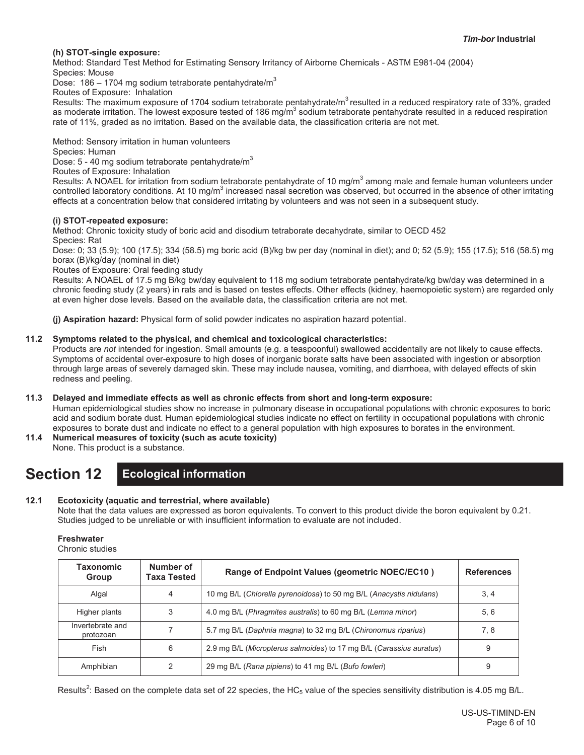#### **(h) STOT-single exposure:**

Method: Standard Test Method for Estimating Sensory Irritancy of Airborne Chemicals - ASTM E981-04 (2004)

Species: Mouse

Dose: 186 – 1704 mg sodium tetraborate pentahydrate/ $m<sup>3</sup>$ 

Routes of Exposure: Inhalation

Results: The maximum exposure of 1704 sodium tetraborate pentahydrate/m<sup>3</sup> resulted in a reduced respiratory rate of 33%, graded as moderate irritation. The lowest exposure tested of 186 mg/m<sup>3</sup> sodium tetraborate pentahydrate resulted in a reduced respiration rate of 11%, graded as no irritation. Based on the available data, the classification criteria are not met.

Method: Sensory irritation in human volunteers

Species: Human

Dose:  $5 - 40$  mg sodium tetraborate pentahydrate/m<sup>3</sup>

Routes of Exposure: Inhalation

Results: A NOAEL for irritation from sodium tetraborate pentahydrate of 10 mg/m<sup>3</sup> among male and female human volunteers under controlled laboratory conditions. At 10 mg/m<sup>3</sup> increased nasal secretion was observed, but occurred in the absence of other irritating effects at a concentration below that considered irritating by volunteers and was not seen in a subsequent study.

#### **(i) STOT-repeated exposure:**

Method: Chronic toxicity study of boric acid and disodium tetraborate decahydrate, similar to OECD 452

Species: Rat

Dose: 0; 33 (5.9); 100 (17.5); 334 (58.5) mg boric acid (B)/kg bw per day (nominal in diet); and 0; 52 (5.9); 155 (17.5); 516 (58.5) mg borax (B)/kg/day (nominal in diet)

Routes of Exposure: Oral feeding study

Results: A NOAEL of 17.5 mg B/kg bw/day equivalent to 118 mg sodium tetraborate pentahydrate/kg bw/day was determined in a chronic feeding study (2 years) in rats and is based on testes effects. Other effects (kidney, haemopoietic system) are regarded only at even higher dose levels. Based on the available data, the classification criteria are not met.

**(j) Aspiration hazard:** Physical form of solid powder indicates no aspiration hazard potential.

#### **11.2 Symptoms related to the physical, and chemical and toxicological characteristics:**

Products are *not* intended for ingestion. Small amounts (e.g. a teaspoonful) swallowed accidentally are not likely to cause effects. Symptoms of accidental over-exposure to high doses of inorganic borate salts have been associated with ingestion or absorption through large areas of severely damaged skin. These may include nausea, vomiting, and diarrhoea, with delayed effects of skin redness and peeling.

#### **11.3 Delayed and immediate effects as well as chronic effects from short and long-term exposure:**

Human epidemiological studies show no increase in pulmonary disease in occupational populations with chronic exposures to boric acid and sodium borate dust. Human epidemiological studies indicate no effect on fertility in occupational populations with chronic exposures to borate dust and indicate no effect to a general population with high exposures to borates in the environment.

- **11.4 Numerical measures of toxicity (such as acute toxicity)**
	- None. This product is a substance.

### **Section 12 Ecological information**

### **12.1 Ecotoxicity (aquatic and terrestrial, where available)**

Note that the data values are expressed as boron equivalents. To convert to this product divide the boron equivalent by 0.21. Studies judged to be unreliable or with insufficient information to evaluate are not included.

**Freshwater**

Chronic studies

| Taxonomic<br>Group            | Number of<br>Taxa Tested | Range of Endpoint Values (geometric NOEC/EC10)                      | <b>References</b> |
|-------------------------------|--------------------------|---------------------------------------------------------------------|-------------------|
| Algal                         | 4                        | 10 mg B/L (Chlorella pyrenoidosa) to 50 mg B/L (Anacystis nidulans) | 3, 4              |
| Higher plants                 | 3                        | 4.0 mg B/L (Phragmites australis) to 60 mg B/L (Lemna minor)        | 5, 6              |
| Invertebrate and<br>protozoan |                          | 5.7 mg B/L (Daphnia magna) to 32 mg B/L (Chironomus riparius)       | 7.8               |
| Fish                          | 6                        | 2.9 mg B/L (Micropterus salmoides) to 17 mg B/L (Carassius auratus) | 9                 |
| Amphibian                     |                          | 29 mg B/L (Rana pipiens) to 41 mg B/L (Bufo fowleri)                | 9                 |

Results<sup>2</sup>: Based on the complete data set of 22 species, the HC<sub>5</sub> value of the species sensitivity distribution is 4.05 mg B/L.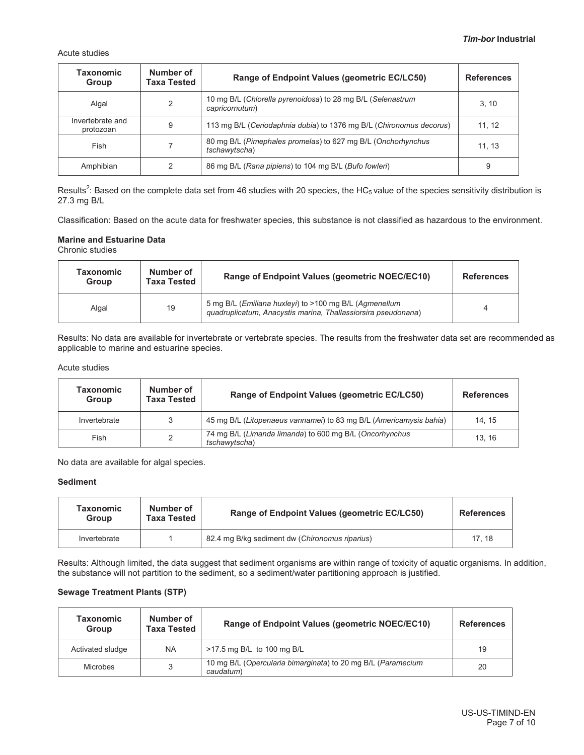Acute studies

| <b>Taxonomic</b><br><b>Group</b> | Number of<br><b>Taxa Tested</b> | Range of Endpoint Values (geometric EC/LC50)                                  | <b>References</b> |
|----------------------------------|---------------------------------|-------------------------------------------------------------------------------|-------------------|
| Algal                            | 2                               | 10 mg B/L (Chlorella pyrenoidosa) to 28 mg B/L (Selenastrum<br>capricornutum) | 3, 10             |
| Invertebrate and<br>protozoan    | 9                               | 113 mg B/L (Ceriodaphnia dubia) to 1376 mg B/L (Chironomus decorus)           | 11.12             |
| Fish                             |                                 | 80 mg B/L (Pimephales promelas) to 627 mg B/L (Onchorhynchus<br>tschawytscha) | 11.13             |
| Amphibian                        | 2                               | 86 mg B/L (Rana pipiens) to 104 mg B/L (Bufo fowleri)                         | 9                 |

Results<sup>2</sup>: Based on the complete data set from 46 studies with 20 species, the HC<sub>5</sub> value of the species sensitivity distribution is 27.3 mg B/L

Classification: Based on the acute data for freshwater species, this substance is not classified as hazardous to the environment.

#### **Marine and Estuarine Data**

Chronic studies

| Taxonomic<br><b>Group</b> | Number of<br><b>Taxa Tested</b> | Range of Endpoint Values (geometric NOEC/EC10)                                                                          | <b>References</b> |
|---------------------------|---------------------------------|-------------------------------------------------------------------------------------------------------------------------|-------------------|
| Algal                     | 19                              | 5 mg B/L (Emiliana huxleyi) to >100 mg B/L (Agmenellum<br>guadruplicatum, Anacystis marina, Thallassiorsira pseudonana) | 4                 |

Results: No data are available for invertebrate or vertebrate species. The results from the freshwater data set are recommended as applicable to marine and estuarine species.

#### Acute studies

| Taxonomic<br><b>Group</b> | Number of<br><b>Taxa Tested</b> | Range of Endpoint Values (geometric EC/LC50)                             | <b>References</b> |
|---------------------------|---------------------------------|--------------------------------------------------------------------------|-------------------|
| Invertebrate              | 3                               | 45 mg B/L (Litopenaeus vannamei) to 83 mg B/L (Americamysis bahia)       | 14.15             |
| Fish                      | 2                               | 74 mg B/L (Limanda limanda) to 600 mg B/L (Oncorhynchus<br>tschawytscha) | 13.16             |

No data are available for algal species.

#### **Sediment**

| <b>Taxonomic</b><br>Group | Number of<br><b>Taxa Tested</b> | Range of Endpoint Values (geometric EC/LC50)   | <b>References</b> |
|---------------------------|---------------------------------|------------------------------------------------|-------------------|
| Invertebrate              |                                 | 82.4 mg B/kg sediment dw (Chironomus riparius) | 17.18             |

Results: Although limited, the data suggest that sediment organisms are within range of toxicity of aquatic organisms. In addition, the substance will not partition to the sediment, so a sediment/water partitioning approach is justified.

#### **Sewage Treatment Plants (STP)**

| <b>Taxonomic</b><br>Group | Number of<br><b>Taxa Tested</b> | Range of Endpoint Values (geometric NOEC/EC10)                            | <b>References</b> |
|---------------------------|---------------------------------|---------------------------------------------------------------------------|-------------------|
| Activated sludge          | <b>NA</b>                       | >17.5 mg B/L to 100 mg B/L                                                | 19                |
| <b>Microbes</b>           |                                 | 10 mg B/L (Opercularia bimarginata) to 20 mg B/L (Paramecium<br>caudatum) | 20                |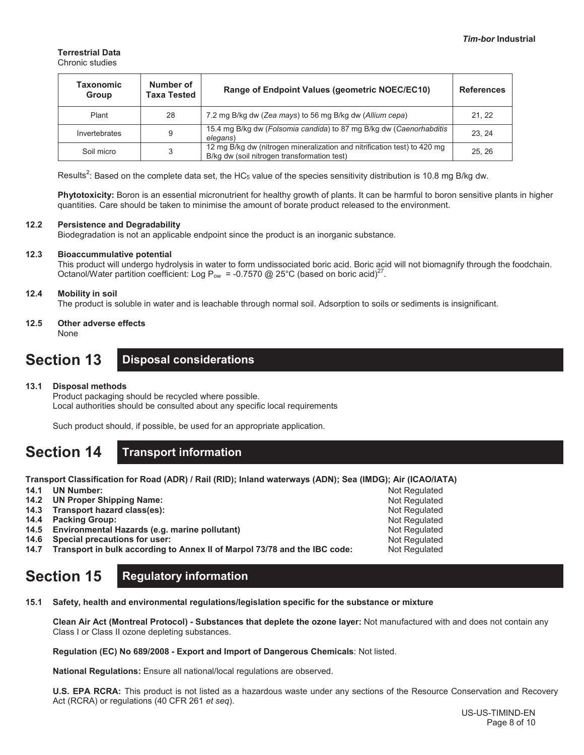### **Terrestrial Data**

Chronic studies

| Taxonomic<br>Group | Number of<br>Taxa Tested | Range of Endpoint Values (geometric NOEC/EC10)                                                                          | <b>References</b> |
|--------------------|--------------------------|-------------------------------------------------------------------------------------------------------------------------|-------------------|
| Plant              | 28                       | 7.2 mg B/kg dw (Zea mays) to 56 mg B/kg dw (Allium cepa)                                                                | 21, 22            |
| Invertebrates      | 9                        | 15.4 mg B/kg dw (Folsomia candida) to 87 mg B/kg dw (Caenorhabditis<br>elegans)                                         | 23.24             |
| Soil micro         | 3                        | 12 mg B/kg dw (nitrogen mineralization and nitrification test) to 420 mg<br>B/kg dw (soil nitrogen transformation test) | 25.26             |

Results<sup>2</sup>: Based on the complete data set, the HC<sub>5</sub> value of the species sensitivity distribution is 10.8 mg B/kg dw.

**Phytotoxicity:** Boron is an essential micronutrient for healthy growth of plants. It can be harmful to boron sensitive plants in higher quantities. Care should be taken to minimise the amount of borate product released to the environment.

#### **12.2 Persistence and Degradability**

Biodegradation is not an applicable endpoint since the product is an inorganic substance.

#### **12.3 Bioaccummulative potential**

This product will undergo hydrolysis in water to form undissociated boric acid. Boric acid will not biomagnify through the foodchain. Octanol/Water partition coefficient: Log P<sub>ow</sub> = -0.7570 @ 25°C (based on boric acid)<sup>27</sup>.

### **12.4 Mobility in soil**

The product is soluble in water and is leachable through normal soil. Adsorption to soils or sediments is insignificant.

#### **12.5 Other adverse effects** None

### **Section 13 Disposal considerations**

#### **13.1 Disposal methods**

Product packaging should be recycled where possible. Local authorities should be consulted about any specific local requirements

Such product should, if possible, be used for an appropriate application.

# **Section 14 Transport information**

**Transport Classification for Road (ADR) / Rail (RID); Inland waterways (ADN); Sea (IMDG); Air (ICAO/IATA)**

**14.1 UN Number:** 

- **14.2 UN Proper Shipping Name:**
- **14.3 Transport hazard class(es):**
- **14.4 Packing Group:**
- **14.5 Environmental Hazards (e.g. marine pollutant)**
- **14.6 Special precautions for user:**
- **14.7 Transport in bulk according to Annex II of Marpol 73/78 and the IBC code:**

# **Section 15 Regulatory information**

**15.1 Safety, health and environmental regulations/legislation specific for the substance or mixture**

**Clean Air Act (Montreal Protocol) - Substances that deplete the ozone layer:** Not manufactured with and does not contain any Class I or Class II ozone depleting substances.

**Regulation (EC) No 689/2008 - Export and Import of Dangerous Chemicals**: Not listed.

**National Regulations:** Ensure all national/local regulations are observed.

**U.S. EPA RCRA:** This product is not listed as a hazardous waste under any sections of the Resource Conservation and Recovery Act (RCRA) or regulations (40 CFR 261 *et seq*).

Not Regulated Not Regulated Not Regulated Not Regulated Not Regulated Not Regulated Not Regulated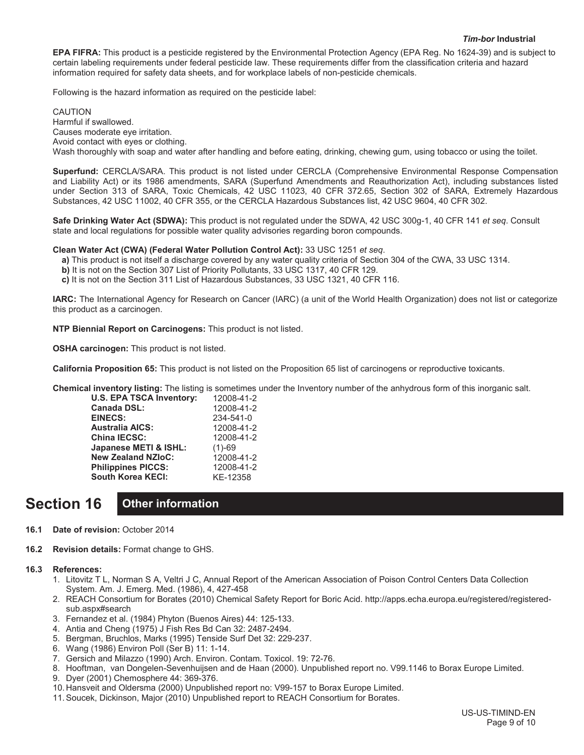**EPA FIFRA:** This product is a pesticide registered by the Environmental Protection Agency (EPA Reg. No 1624-39) and is subject to certain labeling requirements under federal pesticide law. These requirements differ from the classification criteria and hazard information required for safety data sheets, and for workplace labels of non-pesticide chemicals.

Following is the hazard information as required on the pesticide label:

CAUTION Harmful if swallowed. Causes moderate eye irritation. Avoid contact with eyes or clothing. Wash thoroughly with soap and water after handling and before eating, drinking, chewing gum, using tobacco or using the toilet.

**Superfund:** CERCLA/SARA. This product is not listed under CERCLA (Comprehensive Environmental Response Compensation and Liability Act) or its 1986 amendments, SARA (Superfund Amendments and Reauthorization Act), including substances listed under Section 313 of SARA, Toxic Chemicals, 42 USC 11023, 40 CFR 372.65, Section 302 of SARA, Extremely Hazardous Substances, 42 USC 11002, 40 CFR 355, or the CERCLA Hazardous Substances list, 42 USC 9604, 40 CFR 302.

**Safe Drinking Water Act (SDWA):** This product is not regulated under the SDWA, 42 USC 300g-1, 40 CFR 141 *et seq*. Consult state and local regulations for possible water quality advisories regarding boron compounds.

**Clean Water Act (CWA) (Federal Water Pollution Control Act):** 33 USC 1251 *et seq*.

**a)** This product is not itself a discharge covered by any water quality criteria of Section 304 of the CWA, 33 USC 1314.

- **b)** It is not on the Section 307 List of Priority Pollutants, 33 USC 1317, 40 CFR 129.
- **c)** It is not on the Section 311 List of Hazardous Substances, 33 USC 1321, 40 CFR 116.

**IARC:** The International Agency for Research on Cancer (IARC) (a unit of the World Health Organization) does not list or categorize this product as a carcinogen.

**NTP Biennial Report on Carcinogens:** This product is not listed.

**OSHA carcinogen:** This product is not listed.

**California Proposition 65:** This product is not listed on the Proposition 65 list of carcinogens or reproductive toxicants.

**Chemical inventory listing:** The listing is sometimes under the Inventory number of the anhydrous form of this inorganic salt.

| <b>U.S. EPA TSCA Inventory:</b> | 12008-41-2 |
|---------------------------------|------------|
| Canada DSL:                     | 12008-41-2 |
| <b>EINECS:</b>                  | 234-541-0  |
| Australia AICS:                 | 12008-41-2 |
| <b>China IECSC:</b>             | 12008-41-2 |
| Japanese METI & ISHL:           | $(1)-69$   |
| <b>New Zealand NZIoC:</b>       | 12008-41-2 |
| <b>Philippines PICCS:</b>       | 12008-41-2 |
| <b>South Korea KECI:</b>        | KE-12358   |
|                                 |            |

## **Section 16 Other information**

- **16.1 Date of revision:** October 2014
- **16.2 Revision details:** Format change to GHS.

#### **16.3 References:**

- 1. Litovitz T L, Norman S A, Veltri J C, Annual Report of the American Association of Poison Control Centers Data Collection System. Am. J. Emerg. Med. (1986), 4, 427-458
- 2. REACH Consortium for Borates (2010) Chemical Safety Report for Boric Acid. http://apps.echa.europa.eu/registered/registeredsub.aspx#search
- 3. Fernandez et al. (1984) Phyton (Buenos Aires) 44: 125-133.
- 4. Antia and Cheng (1975) J Fish Res Bd Can 32: 2487-2494.
- 5. Bergman, Bruchlos, Marks (1995) Tenside Surf Det 32: 229-237.
- 6. Wang (1986) Environ Poll (Ser B) 11: 1-14.
- 7. Gersich and Milazzo (1990) Arch. Environ. Contam. Toxicol. 19: 72-76.
- 8. Hooftman, van Dongelen-Sevenhuijsen and de Haan (2000). Unpublished report no. V99.1146 to Borax Europe Limited.
- 9. Dyer (2001) Chemosphere 44: 369-376.
- 10. Hansveit and Oldersma (2000) Unpublished report no: V99-157 to Borax Europe Limited.
- 11. Soucek, Dickinson, Major (2010) Unpublished report to REACH Consortium for Borates.